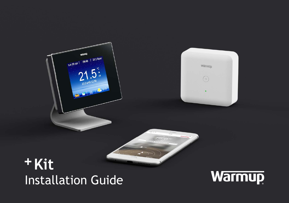# **+Kit Installation Guide**

Warmup<br>tue 20 apr. | 09:48 | 22.5 floor



Warmur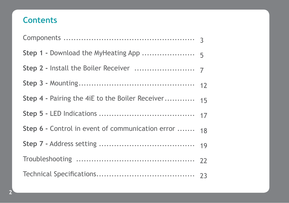# **Contents**

| Step 4 - Pairing the 4iE to the Boiler Receiver  | 15 |
|--------------------------------------------------|----|
|                                                  |    |
| Step 6 - Control in event of communication error | 18 |
|                                                  |    |
|                                                  |    |
|                                                  |    |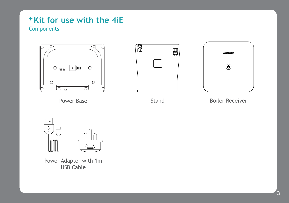#### + Kit for use with the 4iE **Components**







Power Base **Stand** Boiler Receiver



Power Adapter with 1m USB Cable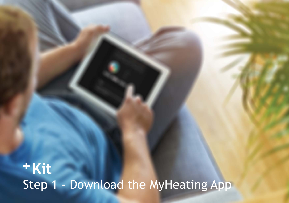**+Kit** Step 1 - Download the MyHeating App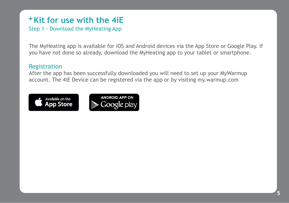#### + Kit for use with the 4iE Step 1 - Download the MyHeating App

The MyHeating app is available for iOS and Android devices via the App Store or Google Play. If you have not done so already, download the MyHeating app to your tablet or smartphone.

#### Registration

After the app has been successfully downloaded you will need to set up your MyWarmup account. The 4iE Device can be registered via the app or by visiting my.warmup.com



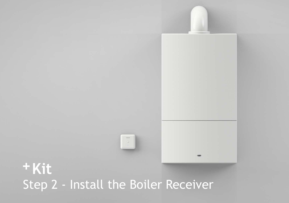

# **+Kit** Step 2 - Install the Boiler Receiver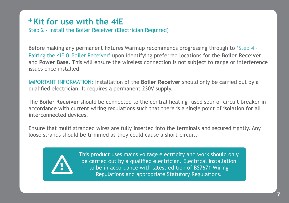Step 2 - Install the Boiler Receiver (Electrician Required)

Before making any permanent fixtures Warmup recommends progressing through to 'Step 4 - Pairing the 4iE & Boiler Receiver' upon identifying preferred locations for the **Boiler Receiver** and **Power Base**. This will ensure the wireless connection is not subject to range or interference issues once installed.

IMPORTANT INFORMATION: Installation of the **Boiler Receiver** should only be carried out by a qualified electrician. It requires a permanent 230V supply.

The **Boiler Receiver** should be connected to the central heating fused spur or circuit breaker in accordance with current wiring regulations such that there is a single point of isolation for all interconnected devices.

Ensure that multi stranded wires are fully inserted into the terminals and secured tightly. Any loose strands should be trimmed as they could cause a short-circuit.



This product uses mains voltage electricity and work should only be carried out by a qualified electrician. Electrical installation to be in accordance with latest edition of BS7671 Wiring Regulations and appropriate Statutory Regulations.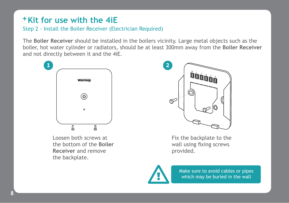Step 2 - Install the Boiler Receiver (Electrician Required)

The **Boiler Receiver** should be installed in the boilers vicinity. Large metal objects such as the boiler, hot water cylinder or radiators, should be at least 300mm away from the **Boiler Receiver** and not directly between it and the 4iE.



Loosen both screws at the bottom of the **Boiler Receiver** and remove the backplate.

**8**



Fix the backplate to the wall using fixing screws provided.



Make sure to avoid cables or pipes<br>which may be buried in the wall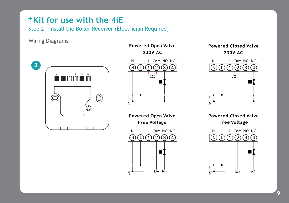Step 2 - Install the Boiler Receiver (Electrician Required)

Wiring Diagrams



**Powered Open Valve** 230V AC



Powered Open Valve **Free Voltage** L Com NO NC N  $(1)(2)(3)$  $(N)$ ıЮ

**Powered Closed Valve** 230V AC



**Powered Closed Valve Free Voltage** 

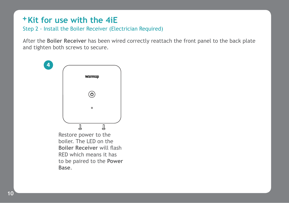Step 2 - Install the Boiler Receiver (Electrician Required)

After the **Boiler Receiver** has been wired correctly reattach the front panel to the back plate and tighten both screws to secure.



Restore power to the boiler. The LED on the **Boiler Receiver** will flash RED which means it has to be paired to the **Power Base**.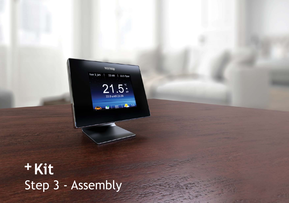**+** Kit Step 3 - Assembly

**Warmin** tue 1 jan | 22:48 | 22.5 floor

 $21.5$ 

 $\mathbf{B} \parallel \equiv \frac{1}{2}$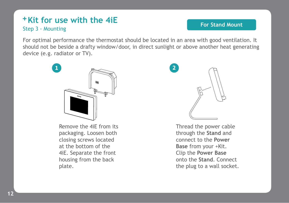#### + Kit for use with the 4iE Step 3 - Mounting

#### **For Stand Mount**

For optimal performance the thermostat should be located in an area with good ventilation. It should not be beside a drafty window/door, in direct sunlight or above another heat generating device (e.g. radiator or TV).



Remove the 4iE from its packaging. Loosen both closing screws located at the bottom of the 4iE. Separate the front housing from the back plate.



Thread the power cable through the **Stand** and connect to the **Power Base** from your +Kit. Clip the **Power Base** onto the **Stand**. Connect the plug to a wall socket.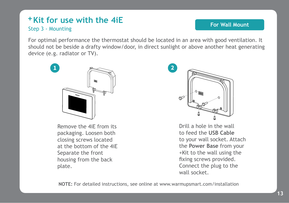#### + Kit for use with the 4iE Step 3 - Mounting

#### **For Wall Mount**

For optimal performance the thermostat should be located in an area with good ventilation. It should not be beside a drafty window/door, in direct sunlight or above another heat generating device (e.g. radiator or TV).



Remove the 4iE from its packaging. Loosen both closing screws located at the bottom of the 4iE Separate the front housing from the back plate.



Drill a hole in the wall to feed the **USB Cable** to your wall socket. Attach the **Power Base** from your +Kit to the wall using the fixing screws provided. Connect the plug to the wall socket.

**NOTE:** For detailed instructions, see online at www.warmupsmart.com/installation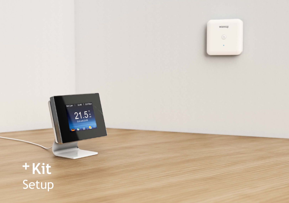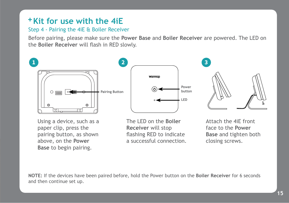#### Step 4 - Pairing the 4iE & Boiler Receiver

Before pairing, please make sure the **Power Base** and **Boiler Receiver** are powered. The LED on the **Boiler Receiver** will flash in RED slowly.







Using a device, such as a paper clip, press the pairing button, as shown above, on the **Power Base** to begin pairing.

The LED on the **Boiler Receiver** will stop flashing RED to indicate a successful connection.

Attach the 4iE front face to the **Power Base** and tighten both closing screws.

**NOTE:** If the devices have been paired before, hold the Power button on the **Boiler Receiver** for 6 seconds and then continue set up.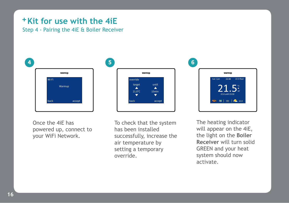Step 4 - Pairing the 4iE & Boiler Receiver



Once the 4iE has powered up, connect to your WiFi Network.



21.0°C 15min

Warmun

override.



The heating indicator will appear on the 4iE, the light on the **Boiler Receiver** will turn solid GREEN and your heat system should now activate.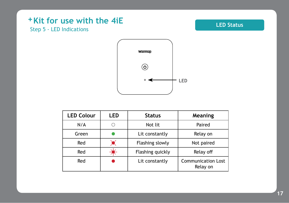### + Kit for use with the 4iE Step 5 - LED Indications

#### **LED Status**



| <b>LED Colour</b> | LED | <b>Status</b>                                           | Meaning    |
|-------------------|-----|---------------------------------------------------------|------------|
| N/A               |     | Not lit                                                 | Paired     |
| Green             |     | Lit constantly                                          | Relay on   |
| Red               |     | Flashing slowly                                         | Not paired |
| Red               |     | Flashing quickly                                        | Relay off  |
| Red               |     | <b>Communication Lost</b><br>Lit constantly<br>Relay on |            |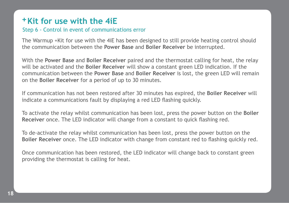#### Step 6 - Control in event of communications error

The Warmup +Kit for use with the 4iE has been designed to still provide heating control should the communication between the **Power Base** and **Boiler Receiver** be interrupted.

With the **Power Base** and **Boiler Receiver** paired and the thermostat calling for heat, the relay will be activated and the **Boiler Receiver** will show a constant green LED indication. If the communication between the **Power Base** and **Boiler Receiver** is lost, the green LED will remain on the **Boiler Receiver** for a period of up to 30 minutes.

If communication has not been restored after 30 minutes has expired, the **Boiler Receiver** will indicate a communications fault by displaying a red LED flashing quickly.

To activate the relay whilst communication has been lost, press the power button on the **Boiler Receiver** once. The LED indicator will change from a constant to quick flashing red.

To de-activate the relay whilst communication has been lost, press the power button on the **Boiler Receiver** once. The LED indicator with change from constant red to flashing quickly red.

Once communication has been restored, the LED indicator will change back to constant green providing the thermostat is calling for heat.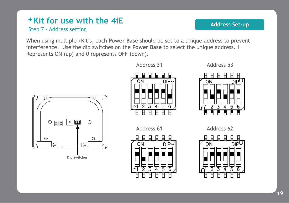#### + Kit for use with the 4iE Step 7 - Address setting

When using multiple +Kit's, each **Power Base** should be set to a unique address to prevent interference. Use the dip switches on the **Power Base** to select the unique address. 1 Represents ON (up) and 0 represents OFF (down).











Address 53



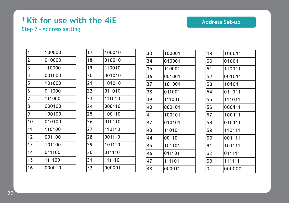#### **Kit for use with the 4iE + Address Set-up** Step 7 - Address setting

| 1              | 100000 |
|----------------|--------|
| $\overline{2}$ | 010000 |
| 3              | 110000 |
| 4              | 001000 |
| 5              | 101000 |
| 6              | 011000 |
| 7              | 111000 |
| 8              | 000100 |
| 9              | 100100 |
| 10             | 010100 |
| 11             | 110100 |
| 12             | 001100 |
| 13             | 101100 |
| 14             | 011100 |
| 15             | 111100 |
| 16             | 000010 |

| 17      | 100010 |
|---------|--------|
| 18      | 010010 |
| 19      | 110010 |
| 20      | 001010 |
| 21      | 101010 |
| 22      | 011010 |
| 23      | 111010 |
| $^{24}$ | 000110 |
| 25      | 100110 |
| 26      | 010110 |
| 27      | 110110 |
| 28      | 001110 |
| 29      | 101110 |
| 30      | 011110 |
| 31      | 111110 |
| 32      | 000001 |

| 33 | 100001 |
|----|--------|
| 34 | 010001 |
| 35 | 110001 |
| 36 | 001001 |
| 37 | 101001 |
| 38 | 011001 |
| 39 | 111001 |
| 40 | 000101 |
| 41 | 100101 |
| 42 | 010101 |
| 43 | 110101 |
| 44 | 001101 |
| 45 | 101101 |
| 46 | 011101 |
| 47 | 111101 |
| 48 | 000011 |

| 49 | 100011 |
|----|--------|
| 50 | 010011 |
| 51 | 110011 |
| 52 | 001011 |
| 53 | 101011 |
| 54 | 011011 |
| 55 | 111011 |
| 56 | 000111 |
| 57 | 100111 |
| 58 | 010111 |
| 59 | 110111 |
| 60 | 001111 |
| 61 | 101111 |
| 62 | 011111 |
| 63 | 111111 |
| O  | 000000 |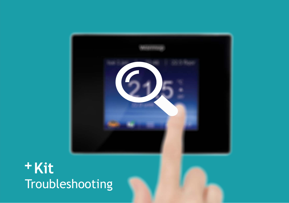

# **+Kit** Troubleshooting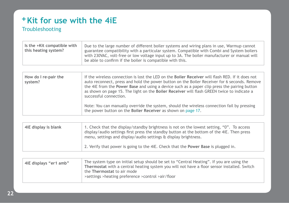#### + Kit for use with the 4iE Troubleshooting

| be able to confirm if the boiler is compatible with this. | Is the +Kit compatible with<br>this heating system? | Due to the large number of different boiler systems and wiring plans in use, Warmup cannot<br>guarantee compatibility with a particular system. Compatible with Combi and System boilers<br>with 230VAC, volt-free or low voltage input up to 3A. The boiler manufacturer or manual will |
|-----------------------------------------------------------|-----------------------------------------------------|------------------------------------------------------------------------------------------------------------------------------------------------------------------------------------------------------------------------------------------------------------------------------------------|
|-----------------------------------------------------------|-----------------------------------------------------|------------------------------------------------------------------------------------------------------------------------------------------------------------------------------------------------------------------------------------------------------------------------------------------|

| How do I re-pair the<br>system? | If the wireless connection is lost the LED on the Boiler Receiver will flash RED. If it does not<br>auto reconnect, press and hold the power button on the Boiler Receiver for 6 seconds. Remove<br>the 4iE from the Power Base and using a device such as a paper clip press the pairing button<br>as shown on page 15. The light on the Boiler Receiver will flash GREEN twice to indicate a<br>successful connection. |
|---------------------------------|--------------------------------------------------------------------------------------------------------------------------------------------------------------------------------------------------------------------------------------------------------------------------------------------------------------------------------------------------------------------------------------------------------------------------|
|                                 | Note: You can manually override the system, should the wireless connection fail by pressing<br>the power button on the Boiler Receiver as shown on page 17.                                                                                                                                                                                                                                                              |

| 4iE display is blank | 1. Check that the display/standby brightness is not on the lowest setting, "0". To access<br>display/audio settings first press the standby button at the bottom of the 4iE. Then press<br>menu, settings and display/audio settings & display brightness. |
|----------------------|------------------------------------------------------------------------------------------------------------------------------------------------------------------------------------------------------------------------------------------------------------|
|                      | 2. Verify that power is going to the 4iE. Check that the Power Base is plugged in.                                                                                                                                                                         |

| 4iE displays "er1 amb" | The system type on initial setup should be set to "Central Heating". If you are using the<br>Thermostat with a central heating system you will not have a floor sensor installed. Switch<br>the Thermostat to air mode<br>>settings >heating preference >control >air/floor |
|------------------------|-----------------------------------------------------------------------------------------------------------------------------------------------------------------------------------------------------------------------------------------------------------------------------|
|------------------------|-----------------------------------------------------------------------------------------------------------------------------------------------------------------------------------------------------------------------------------------------------------------------------|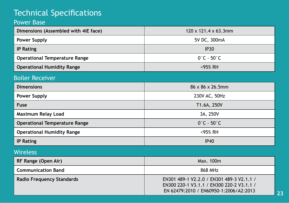# Technical Specifications

#### Power Base

| Dimensions (Assembled with 4iE face) | $120 \times 121.4 \times 63.3$ mm |
|--------------------------------------|-----------------------------------|
| Power Supply                         | 5V DC, 300mA                      |
| <b>IP Rating</b>                     | <b>IP30</b>                       |
| <b>Operational Temperature Range</b> | $0^\circ$ C - 50 $^\circ$ C       |
| <b>Operational Humidity Range</b>    | <95% RH                           |
| <b>Boiler Receiver</b>               |                                   |
| <b>Dimensions</b>                    | $86 \times 86 \times 26.5$ mm     |
| <b>Power Supply</b>                  | 230V AC, 50Hz                     |
| Fuse                                 | T1.6A, 250V                       |
| Maximum Relay Load                   | 3A, 250V                          |
| <b>Operational Temperature Range</b> | $0^\circ$ C - 50 $^\circ$ C       |
| <b>Operational Humidity Range</b>    | <95% RH                           |

**IP Rating** IP **Rating** IP40

#### Wireless

| RF Range (Open Air)       | Max. 100m                                                                                                                        |
|---------------------------|----------------------------------------------------------------------------------------------------------------------------------|
| <b>Communication Band</b> | 868 MHz                                                                                                                          |
| Radio Frequency Standards | EN301 489-1 V2.2.0 / EN301 489-3 V2.1.1 /<br>EN300 220-1 V3.1.1 / EN300 220-2 V3.1.1 /<br>EN 62479:2010 / EN60950-1:2006/A2:2013 |